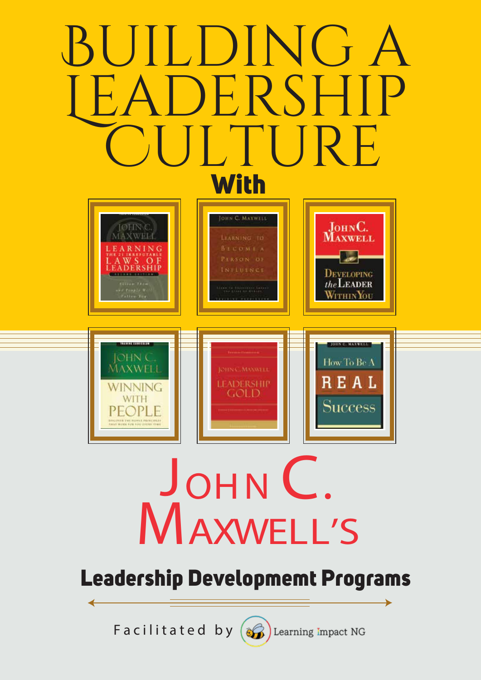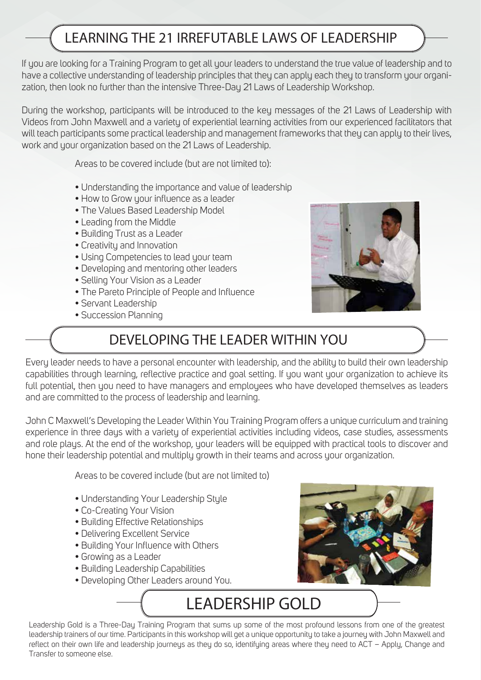### **LEARNING THE 21 IRREFUTABLE LAWS OF LEADERSHIP**

If you are looking for a Training Program to get all your leaders to understand the true value of leadership and to have a collective understanding of leadership principles that they can apply each they to transform your organization, then look no further than the intensive Three-Day 21 Laws of Leadership Workshop.

During the workshop, participants will be introduced to the key messages of the 21 Laws of Leadership with Videos from John Maxwell and a variety of experiential learning activities from our experienced facilitators that will teach participants some practical leadership and management frameworks that they can apply to their lives, work and your organization based on the 21 Laws of Leadership.

Areas to be covered include (but are not limited to):

- Understanding the importance and value of leadership
- How to Grow your influence as a leader
- The Values Based Leadership Model
- Leading from the Middle
- Building Trust as a Leader
- Creativity and Innovation
- Using Competencies to lead your team
- Developing and mentoring other leaders
- Selling Your Vision as a Leader
- The Pareto Principle of People and Influence
- Servant Leadership
- Succession Planning



### **DEVELOPING THE LEADER WITHIN YOU**

Every leader needs to have a personal encounter with leadership, and the ability to build their own leadership capabilities through learning, reflective practice and goal setting. If you want your organization to achieve its full potential, then you need to have managers and employees who have developed themselves as leaders and are committed to the process of leadership and learning.

John C Maxwell's Developing the Leader Within You Training Program offers a unique curriculum and training experience in three days with a variety of experiential activities including videos, case studies, assessments and role plays. At the end of the workshop, your leaders will be equipped with practical tools to discover and hone their leadership potential and multiply growth in their teams and across your organization.

Areas to be covered include (but are not limited to)

- Understanding Your Leadership Style
- Co-Creating Your Vision
- Building Effective Relationships
- Delivering Excellent Service
- Building Your Influence with Others
- Growing as a Leader
- Building Leadership Capabilities
- Developing Other Leaders around You.



## **LEADERSHIP GOLD**

Leadership Gold is a Three-Day Training Program that sums up some of the most profound lessons from one of the greatest leadership trainers of our time. Participants in this workshop will get a unique opportunity to take a journey with John Maxwell and reflect on their own life and leadership journeys as they do so, identifying areas where they need to ACT – Apply, Change and Transfer to someone else.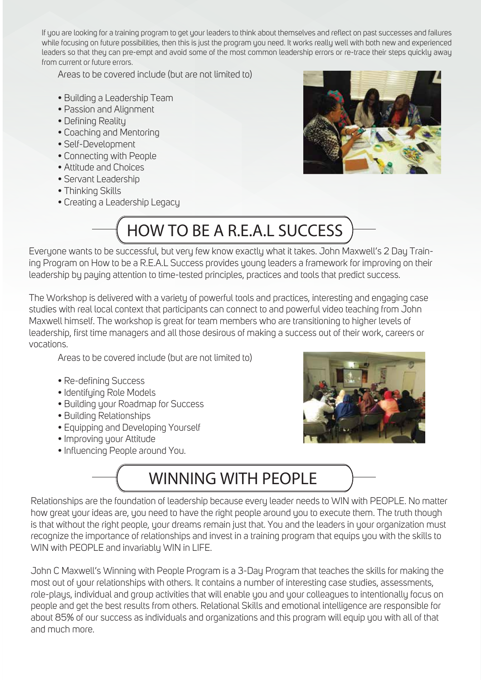If you are looking for a training program to get your leaders to think about themselves and reflect on past successes and failures while focusing on future possibilities, then this is just the program you need. It works really well with both new and experienced leaders so that they can pre-empt and avoid some of the most common leadership errors or re-trace their steps quickly away from current or future errors.

Areas to be covered include (but are not limited to)

- Building a Leadership Team
- Passion and Alignment
- Defining Reality
- Coaching and Mentoring
- Self-Development
- Connecting with People
- Attitude and Choices
- Servant Leadership
- Thinking Skills
- Creating a Leadership Legacy



# **HOW TO BE A R.E.A.L SUCCESS**

Everyone wants to be successful, but very few know exactly what it takes. John Maxwell's 2 Day Training Program on How to be a R.E.A.L Success provides young leaders a framework for improving on their leadership by paying attention to time-tested principles, practices and tools that predict success.

The Workshop is delivered with a variety of powerful tools and practices, interesting and engaging case studies with real local context that participants can connect to and powerful video teaching from John Maxwell himself. The workshop is great for team members who are transitioning to higher levels of leadership, first time managers and all those desirous of making a success out of their work, careers or vocations.

Areas to be covered include (but are not limited to)

- Re-defining Success
- Identifying Role Models
- Building your Roadmap for Success
- Building Relationships
- Equipping and Developing Yourself
- Improving your Attitude
- Influencing People around You.



## **WINNING WITH PEOPLE**

Relationships are the foundation of leadership because every leader needs to WIN with PEOPLE. No matter how great your ideas are, you need to have the right people around you to execute them. The truth though is that without the right people, your dreams remain just that. You and the leaders in your organization must recognize the importance of relationships and invest in a training program that equips you with the skills to WIN with PEOPLE and invariably WIN in LIFE.

John C Maxwell's Winning with People Program is a 3-Day Program that teaches the skills for making the most out of your relationships with others. It contains a number of interesting case studies, assessments, role-plays, individual and group activities that will enable you and your colleagues to intentionally focus on people and get the best results from others. Relational Skills and emotional intelligence are responsible for about 85% of our success as individuals and organizations and this program will equip you with all of that and much more.